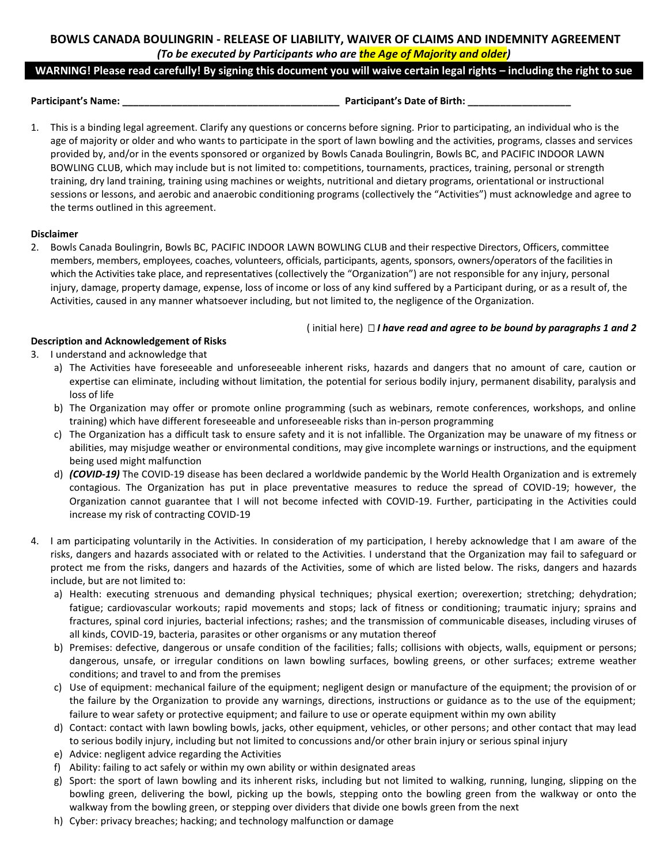# **BOWLS CANADA BOULINGRIN - RELEASE OF LIABILITY, WAIVER OF CLAIMS AND INDEMNITY AGREEMENT** *(To be executed by Participants who are the Age of Majority and older)*

# **WARNING! Please read carefully! By signing this document you will waive certain legal rights – including the right to sue**

**Participant's Name: \_\_\_\_\_\_\_\_\_\_\_\_\_\_\_\_\_\_\_\_\_\_\_\_\_\_\_\_\_\_\_\_\_\_\_\_\_\_\_\_ Participant's Date of Birth: \_\_\_\_\_\_\_\_\_\_\_\_\_\_\_\_\_\_\_**

1. This is a binding legal agreement. Clarify any questions or concerns before signing. Prior to participating, an individual who is the age of majority or older and who wants to participate in the sport of lawn bowling and the activities, programs, classes and services provided by, and/or in the events sponsored or organized by Bowls Canada Boulingrin, Bowls BC, and PACIFIC INDOOR LAWN BOWLING CLUB, which may include but is not limited to: competitions, tournaments, practices, training, personal or strength training, dry land training, training using machines or weights, nutritional and dietary programs, orientational or instructional sessions or lessons, and aerobic and anaerobic conditioning programs (collectively the "Activities") must acknowledge and agree to the terms outlined in this agreement.

## **Disclaimer**

2. Bowls Canada Boulingrin, Bowls BC, PACIFIC INDOOR LAWN BOWLING CLUB and their respective Directors, Officers, committee members, members, employees, coaches, volunteers, officials, participants, agents, sponsors, owners/operators of the facilities in which the Activities take place, and representatives (collectively the "Organization") are not responsible for any injury, personal injury, damage, property damage, expense, loss of income or loss of any kind suffered by a Participant during, or as a result of, the Activities, caused in any manner whatsoever including, but not limited to, the negligence of the Organization.

## ( initial here) *I have read and agree to be bound by paragraphs 1 and 2*

# **Description and Acknowledgement of Risks**

- 3. I understand and acknowledge that
	- a) The Activities have foreseeable and unforeseeable inherent risks, hazards and dangers that no amount of care, caution or expertise can eliminate, including without limitation, the potential for serious bodily injury, permanent disability, paralysis and loss of life
	- b) The Organization may offer or promote online programming (such as webinars, remote conferences, workshops, and online training) which have different foreseeable and unforeseeable risks than in-person programming
	- c) The Organization has a difficult task to ensure safety and it is not infallible. The Organization may be unaware of my fitness or abilities, may misjudge weather or environmental conditions, may give incomplete warnings or instructions, and the equipment being used might malfunction
	- d) *(COVID-19)* The COVID-19 disease has been declared a worldwide pandemic by the World Health Organization and is extremely contagious. The Organization has put in place preventative measures to reduce the spread of COVID-19; however, the Organization cannot guarantee that I will not become infected with COVID-19. Further, participating in the Activities could increase my risk of contracting COVID-19
- 4. I am participating voluntarily in the Activities. In consideration of my participation, I hereby acknowledge that I am aware of the risks, dangers and hazards associated with or related to the Activities. I understand that the Organization may fail to safeguard or protect me from the risks, dangers and hazards of the Activities, some of which are listed below. The risks, dangers and hazards include, but are not limited to:
	- a) Health: executing strenuous and demanding physical techniques; physical exertion; overexertion; stretching; dehydration; fatigue; cardiovascular workouts; rapid movements and stops; lack of fitness or conditioning; traumatic injury; sprains and fractures, spinal cord injuries, bacterial infections; rashes; and the transmission of communicable diseases, including viruses of all kinds, COVID-19, bacteria, parasites or other organisms or any mutation thereof
	- b) Premises: defective, dangerous or unsafe condition of the facilities; falls; collisions with objects, walls, equipment or persons; dangerous, unsafe, or irregular conditions on lawn bowling surfaces, bowling greens, or other surfaces; extreme weather conditions; and travel to and from the premises
	- c) Use of equipment: mechanical failure of the equipment; negligent design or manufacture of the equipment; the provision of or the failure by the Organization to provide any warnings, directions, instructions or guidance as to the use of the equipment; failure to wear safety or protective equipment; and failure to use or operate equipment within my own ability
	- d) Contact: contact with lawn bowling bowls, jacks, other equipment, vehicles, or other persons; and other contact that may lead to serious bodily injury, including but not limited to concussions and/or other brain injury or serious spinal injury
	- e) Advice: negligent advice regarding the Activities
	- f) Ability: failing to act safely or within my own ability or within designated areas
	- g) Sport: the sport of lawn bowling and its inherent risks, including but not limited to walking, running, lunging, slipping on the bowling green, delivering the bowl, picking up the bowls, stepping onto the bowling green from the walkway or onto the walkway from the bowling green, or stepping over dividers that divide one bowls green from the next
	- h) Cyber: privacy breaches; hacking; and technology malfunction or damage